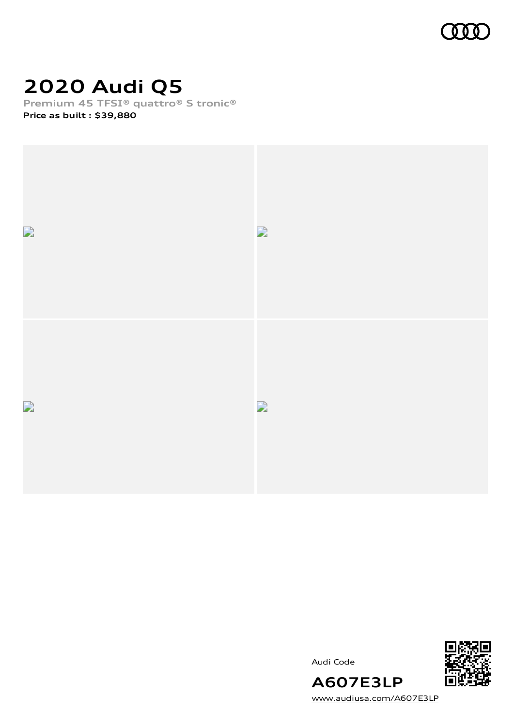

# **2020 Audi Q5**

**Premium 45 TFSI® quattro® S tronic®**

**Price as built [:](#page-8-0) \$39,880**







**A607E3LP** [www.audiusa.com/A607E3LP](https://www.audiusa.com/A607E3LP)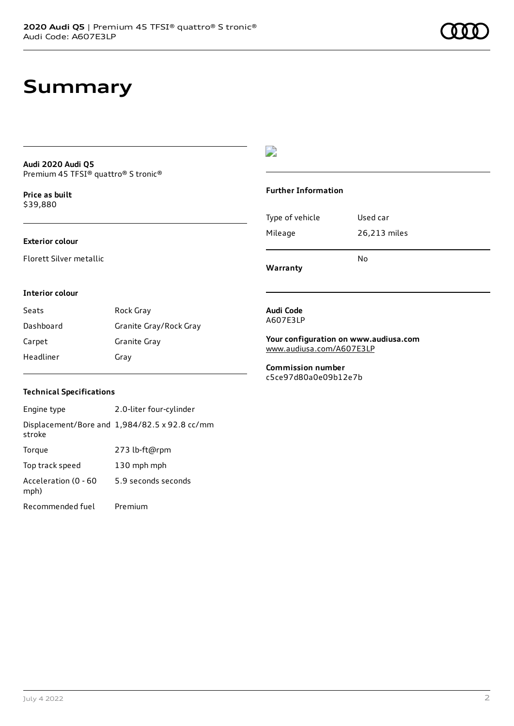#### **Audi 2020 Audi Q5** Premium 45 TFSI® quattro® S tronic®

**Price as buil[t](#page-8-0)** \$39,880

### **Exterior colour**

Florett Silver metallic

### D

#### **Further Information**

| Type of vehicle | Used car     |
|-----------------|--------------|
| Mileage         | 26,213 miles |
|                 | No           |

**Warranty**

#### **Interior colour**

| Seats     | Rock Gray              |
|-----------|------------------------|
| Dashboard | Granite Gray/Rock Gray |
| Carpet    | Granite Gray           |
| Headliner | Gray                   |

#### **Audi Code** A607E3LP

**Your configuration on www.audiusa.com** [www.audiusa.com/A607E3LP](https://www.audiusa.com/A607E3LP)

**Commission number** c5ce97d80a0e09b12e7b

#### **Technical Specifications**

Engine type 2.0-liter four-cylinder Displacement/Bore and 1,984/82.5 x 92.8 cc/mm stroke Torque 273 lb-ft@rpm Top track speed 130 mph mph Acceleration (0 - 60 mph) 5.9 seconds seconds Recommended fuel Premium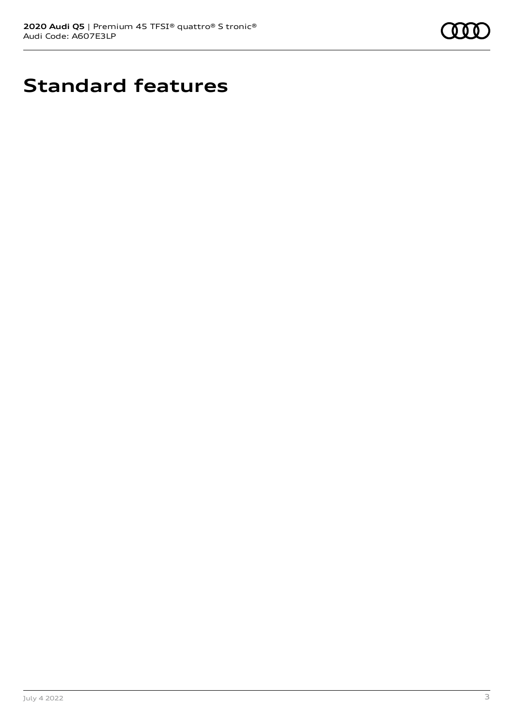

# **Standard features**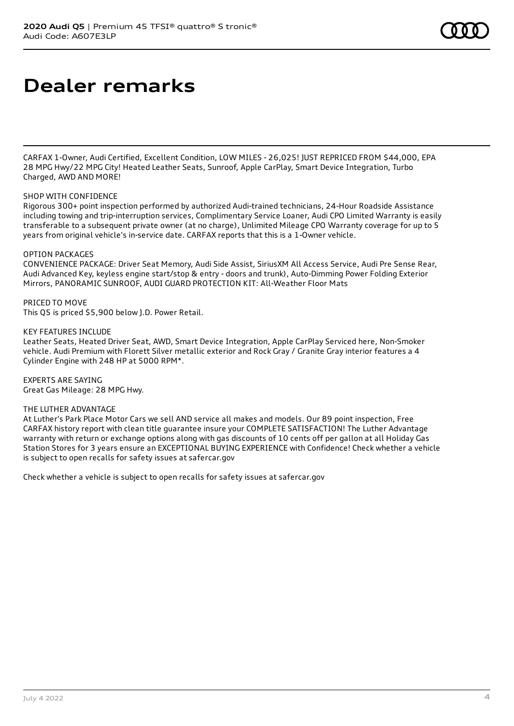## **Dealer remarks**

CARFAX 1-Owner, Audi Certified, Excellent Condition, LOW MILES - 26,025! JUST REPRICED FROM \$44,000, EPA 28 MPG Hwy/22 MPG City! Heated Leather Seats, Sunroof, Apple CarPlay, Smart Device Integration, Turbo Charged, AWD AND MORE!

#### SHOP WITH CONFIDENCE

Rigorous 300+ point inspection performed by authorized Audi-trained technicians, 24-Hour Roadside Assistance including towing and trip-interruption services, Complimentary Service Loaner, Audi CPO Limited Warranty is easily transferable to a subsequent private owner (at no charge), Unlimited Mileage CPO Warranty coverage for up to 5 years from original vehicle's in-service date. CARFAX reports that this is a 1-Owner vehicle.

#### OPTION PACKAGES

CONVENIENCE PACKAGE: Driver Seat Memory, Audi Side Assist, SiriusXM All Access Service, Audi Pre Sense Rear, Audi Advanced Key, keyless engine start/stop & entry - doors and trunk), Auto-Dimming Power Folding Exterior Mirrors, PANORAMIC SUNROOF, AUDI GUARD PROTECTION KIT: All-Weather Floor Mats

PRICED TO MOVE This Q5 is priced \$5,900 below J.D. Power Retail.

KEY FEATURES INCLUDE

Leather Seats, Heated Driver Seat, AWD, Smart Device Integration, Apple CarPlay Serviced here, Non-Smoker vehicle. Audi Premium with Florett Silver metallic exterior and Rock Gray / Granite Gray interior features a 4 Cylinder Engine with 248 HP at 5000 RPM\*.

EXPERTS ARE SAYING Great Gas Mileage: 28 MPG Hwy.

#### THE LUTHER ADVANTAGE

At Luther's Park Place Motor Cars we sell AND service all makes and models. Our 89 point inspection, Free CARFAX history report with clean title guarantee insure your COMPLETE SATISFACTION! The Luther Advantage warranty with return or exchange options along with gas discounts of 10 cents off per gallon at all Holiday Gas Station Stores for 3 years ensure an EXCEPTIONAL BUYING EXPERIENCE with Confidence! Check whether a vehicle is subject to open recalls for safety issues at safercar.gov

Check whether a vehicle is subject to open recalls for safety issues at safercar.gov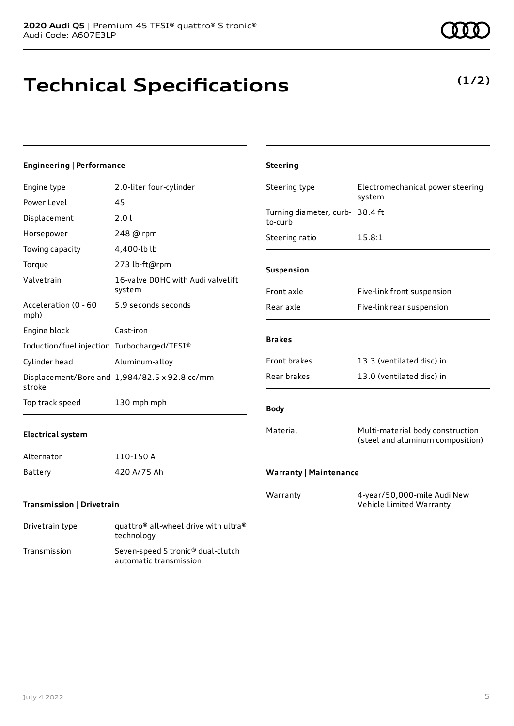# **Technical Specifications**

### **Engineering | Performance**

| Engine type                                 | 2.0-liter four-cylinder                       | Steering type                              | Electromechanical power steering                                     |
|---------------------------------------------|-----------------------------------------------|--------------------------------------------|----------------------------------------------------------------------|
| Power Level                                 | 45                                            |                                            | system                                                               |
| Displacement                                | 2.01                                          | Turning diameter, curb- 38.4 ft<br>to-curb |                                                                      |
| Horsepower                                  | 248 @ rpm                                     | Steering ratio                             | 15.8:1                                                               |
| Towing capacity                             | 4,400-lb lb                                   |                                            |                                                                      |
| Torque                                      | 273 lb-ft@rpm                                 | Suspension                                 |                                                                      |
| Valvetrain                                  | 16-valve DOHC with Audi valvelift<br>system   | Front axle                                 | Five-link front suspension                                           |
| Acceleration (0 - 60<br>mph)                | 5.9 seconds seconds                           | Rear axle                                  | Five-link rear suspension                                            |
| Engine block                                | Cast-iron                                     |                                            |                                                                      |
| Induction/fuel injection Turbocharged/TFSI® |                                               | <b>Brakes</b>                              |                                                                      |
| Cylinder head                               | Aluminum-alloy                                | Front brakes                               | 13.3 (ventilated disc) in                                            |
| stroke                                      | Displacement/Bore and 1,984/82.5 x 92.8 cc/mm | Rear brakes                                | 13.0 (ventilated disc) in                                            |
| Top track speed                             | 130 mph mph                                   | <b>Body</b>                                |                                                                      |
| <b>Electrical system</b>                    |                                               | Material                                   | Multi-material body construction<br>(steel and aluminum composition) |
| Alternator                                  | 110-150 A                                     |                                            |                                                                      |
| Battery                                     | 420 A/75 Ah                                   | <b>Warranty   Maintenance</b>              |                                                                      |
| Transmission   Drivetrain                   |                                               | Warranty                                   | 4-year/50,000-mile Audi New<br>Vehicle Limited Warranty              |

**Steering**

Drivetrain type  $q$ uattro® all-wheel drive with ultra® technology Transmission Seven-speed S tronic® dual-clutch automatic transmission

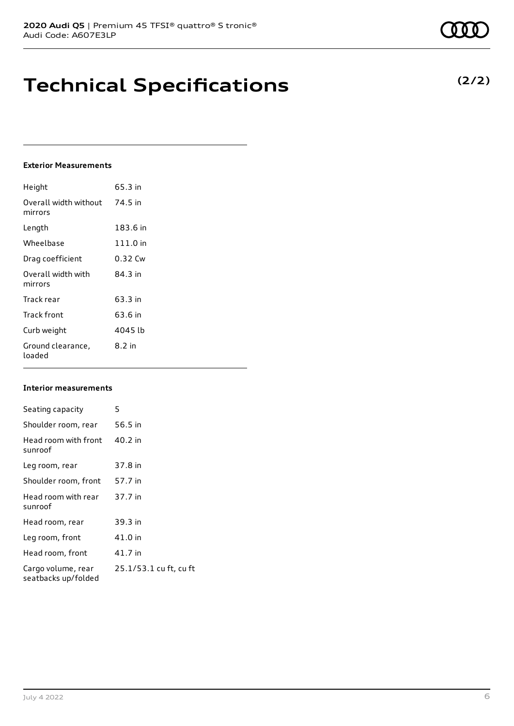## **Technical Specifications**

### **Exterior Measurements**

| Height                           | 65.3 in  |
|----------------------------------|----------|
| Overall width without<br>mirrors | 74.5 in  |
| Length                           | 183.6 in |
| Wheelbase                        | 111.0 in |
| Drag coefficient                 | 0.32 Cw  |
| Overall width with<br>mirrors    | 84.3 in  |
| Track rear                       | 63.3 in  |
| Track front                      | 63.6 in  |
| Curb weight                      | 4045 lb  |
| Ground clearance,<br>loaded      | 8.2 in   |

#### **Interior measurements**

| Seating capacity                          | 5                      |
|-------------------------------------------|------------------------|
| Shoulder room, rear                       | 56.5 in                |
| Head room with front<br>sunroof           | 40.2 in                |
| Leg room, rear                            | 37.8 in                |
| Shoulder room, front                      | 57.7 in                |
| Head room with rear<br>sunroof            | 37.7 in                |
| Head room, rear                           | 39.3 in                |
| Leg room, front                           | 41.0 in                |
| Head room, front                          | 41.7 in                |
| Cargo volume, rear<br>seatbacks up/folded | 25.1/53.1 cu ft, cu ft |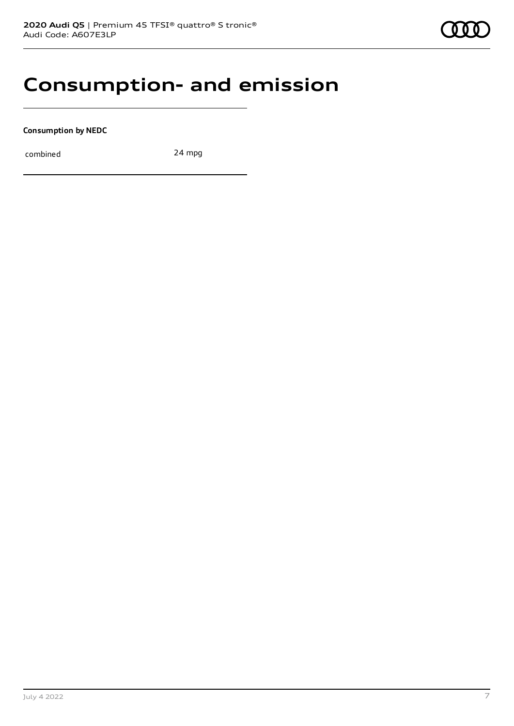### **Consumption- and emission**

**Consumption by NEDC**

combined 24 mpg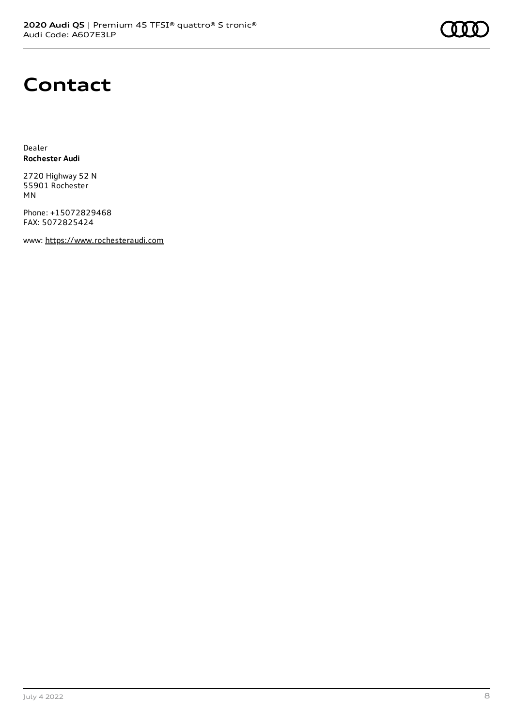

## **Contact**

Dealer **Rochester Audi**

2720 Highway 52 N 55901 Rochester MN

Phone: +15072829468 FAX: 5072825424

www: [https://www.rochesteraudi.com](https://www.rochesteraudi.com/)